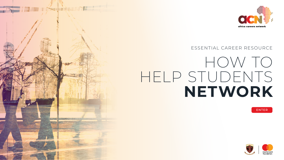## HOW TO HELP STUDENTS **NETWORK**





### ESSENTIAL CAREER RESOURCE

ENTER







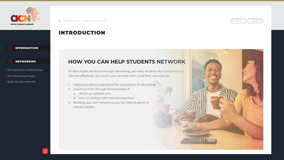## INTRODUCTION

## **HOW YOU CAN HELP STUDENTS NETWORK**

80-85% of jobs are found through networking, yet many students don't know how to network effectively. As a coach, you can help them build their networks by:

- Helping students understand the importance of networking
- II. Coaching them through the processes of:
	- a. Whom to network with
	- b. How to conduct informational interviews
- III. Building your own network so you can refer students to relevant people



 $\left\langle \begin{array}{cc} PREV & | & NEXT \end{array} \right\rangle$ 

—



<span id="page-1-0"></span>





The Importance of Networking

The Networking Process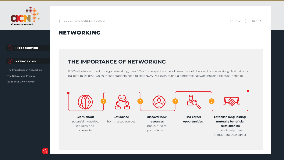## NETWORKING

## **THE IMPORTANCE OF NETWORKING**

If 80% of jobs are found through networking, then 80% of time spent on the job search should be spent on networking. And network building takes time, which means students need to start NOW. Yes, even during a pandemic. Network building helps students to:







**Learn about** potential industries, job roles, and companies

**Get advice** from trusted sources



 $\left\langle \begin{array}{cc} PREV & | & NEXT \end{array} \right\rangle$ 











The Importance of Networking

The Networking Process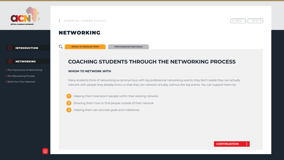**Whom to Network With**

 $\mathbb{O}_{\!o}$ 

## NETWORKING

Many students think of networking as synonymous with big professional networking events; they don't realize they can actually network with people they already know, or that they can network virtually, without the big events. You can support them by: Informational Interviews<br> **CONTINUATION CONTINUATION**<br>
Interview, or that they can network virtually, without the big events. You can support them by:<br>
Now, or that they can network virtually, without the big events. You c

## **COACHING STUDENTS THROUGH THE NETWORKING PROCESS**

#### **WHOM TO NETWORK WITH**

- **1** Helping them brainstorm people within their existing network
- **2** Showing them how to find people outside of their network
- **3** Helping them set concrete goals and milestones



< PREV || NEXT >









The Importance of Networking

The Networking Process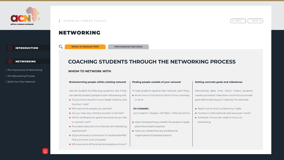# **COACHING STUDENTS THROUGH THE NETWORKING PROCESS** Build Your Own Network **Informational Interviews**<br> **Build Your Own Network Interviews**<br>
Build Your Own Network<br>
Build Your Own Network<br>
Build Your Own Network<br>
Build Your Own Network<br>
Build Your Own Network

## NETWORKING

#### **WHOM TO NETWORK WITH**

#### **Brainstorming people within existing network**

- Ask the student the following questions. See if they can identify at least 3 people to start networking with.
- Do you know anyone in your target industry / job function / role?
- Who are some people you admire?
- **•** Do you have any mentors (current or former)?
- Which professors (or guest lecturers) do you like or connect with?
- Any classmates, alumni or friends with interesting experiences?
- **•** Doyou know any "connectors" or "social butterflies" that just know a lot of people?
- Who are some of the smartest people you know?



- Go to Search > People > All Filters > Filter by School
- **•** Have tried searching LinkedIn for people in target jobs/industries/companies
- Have you researched any professional organizations/clubs/associations
- Reach out to first 3 contacts by X date
- Conduct 2 informational interviews per month
- **•** Schedule 2 hours per week to focus on networking



#### **Finding people outside of your network**

- To help students expand their network, ask if they:
- **•** Know how to find alumni (from home university or ALA)

#### **On LinkedIn:**

#### **Setting concrete goals and milestones**

Networking takes time, which means students need to prioritize it. Have them commit to a concrete goal before leaving your meeting. For example:

**Whom to Network With**







The Importance of Networking

The Networking Process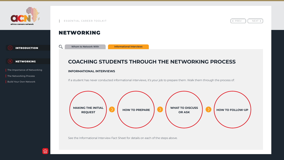# **COACHING STUDENTS THROUGH THE NETWORKING PROCESS** E INTRODUCTION<br> **Build Your Own Network With**<br>
The Importance of Networking<br>
The Networking Process<br>
Build Your Own Network<br>
Build Your Own Network<br> **Build Your Own Network**<br> **Build Your Own Network**<br> **Build Your Own Netwo**

## NETWORKING

#### **INFORMATIONAL INTERVIEWS**

If a student has never conducted informational interviews, it's your job to prepare them. Walk them through the process of:

See the Informational Interview Fact Sheet for details on each of the steps above.



 $\left\langle \begin{array}{cc} PREV \end{array} \right|$  NEXT >





**Informational Interviews**







The Importance of Networking

The Networking Process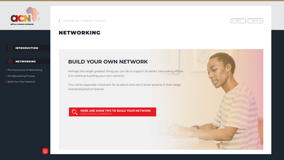## NETWORKING

## **BUILD YOUR OWN NETWORK**

Perhaps the single greatest thing you can do to support students' networking efforts is to continue building your own network.

This will be especially important for students who don't know anyone in their target industries/jobs/companies.









The Importance of Networking

The Networking Process

**Build Your Own Network** 

**HERE ARE SOME TIPS TO BUILD YOUR NETWORK**  (EVEN DURING A PANDEMIC)



 $\left\langle \begin{array}{cc} PREV & \end{array} \right|$  NEXT >